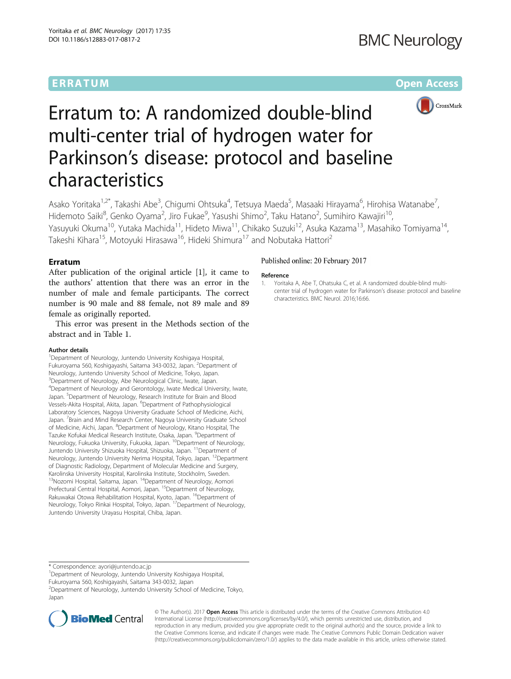# ERRATUM ERRA TUM Open Access



# Erratum to: A randomized double-blind multi-center trial of hydrogen water for Parkinson's disease: protocol and baseline characteristics

Asako Yoritaka<sup>1,2\*</sup>, Takashi Abe<sup>3</sup>, Chigumi Ohtsuka<sup>4</sup>, Tetsuya Maeda<sup>5</sup>, Masaaki Hirayama<sup>6</sup>, Hirohisa Watanabe<sup>7</sup> , Hidemoto Saiki<sup>8</sup>, Genko Oyama<sup>2</sup>, Jiro Fukae<sup>9</sup>, Yasushi Shimo<sup>2</sup>, Taku Hatano<sup>2</sup>, Sumihiro Kawajiri<sup>10</sup>, Yasuyuki Okuma<sup>10</sup>, Yutaka Machida<sup>11</sup>, Hideto Miwa<sup>11</sup>, Chikako Suzuki<sup>12</sup>, Asuka Kazama<sup>13</sup>, Masahiko Tomiyama<sup>14</sup>, Takeshi Kihara<sup>15</sup>, Motoyuki Hirasawa<sup>16</sup>, Hideki Shimura<sup>17</sup> and Nobutaka Hattori<sup>2</sup>

# Erratum

After publication of the original article [1], it came to the authors' attention that there was an error in the number of male and female participants. The correct number is 90 male and 88 female, not 89 male and 89 female as originally reported.

This error was present in the Methods section of the abstract and in Table [1.](#page-1-0)

### Author details

<sup>1</sup>Department of Neurology, Juntendo University Koshigaya Hospital, Fukuroyama 560, Koshigayashi, Saitama 343-0032, Japan. <sup>2</sup>Department of Neurology, Juntendo University School of Medicine, Tokyo, Japan. <sup>3</sup>Department of Neurology, Abe Neurological Clinic, Iwate, Japan. 4 Department of Neurology and Gerontology, Iwate Medical University, Iwate, Japan. <sup>5</sup>Department of Neurology, Research Institute for Brain and Blood Vessels-Akita Hospital, Akita, Japan. <sup>6</sup>Department of Pathophysiological Laboratory Sciences, Nagoya University Graduate School of Medicine, Aichi, Japan. <sup>7</sup> Brain and Mind Research Center, Nagoya University Graduate School of Medicine, Aichi, Japan. <sup>8</sup>Department of Neurology, Kitano Hospital, The Tazuke Kofukai Medical Research Institute, Osaka, Japan. <sup>9</sup>Department of<br>Neurology, Fukuoka University, Fukuoka, Japan. <sup>10</sup>Department of Neurology, Juntendo University Shizuoka Hospital, Shizuoka, Japan. <sup>11</sup>Department of Neurology, Juntendo University Nerima Hospital, Tokyo, Japan. <sup>12</sup>Department of Diagnostic Radiology, Department of Molecular Medicine and Surgery, Karolinska University Hospital, Karolinska Institute, Stockholm, Sweden. <sup>13</sup>Nozomi Hospital, Saitama, Japan. <sup>14</sup>Department of Neurology, Aomori Prefectural Central Hospital, Aomori, Japan. <sup>15</sup>Department of Neurology, Rakuwakai Otowa Rehabilitation Hospital, Kyoto, Japan. <sup>16</sup>Department of Neurology, Tokyo Rinkai Hospital, Tokyo, Japan. 17Department of Neurology, Juntendo University Urayasu Hospital, Chiba, Japan.

## Published online: 20 February 2017

#### Reference

1. Yoritaka A, Abe T, Ohatsuka C, et al. A randomized double-blind multicenter trial of hydrogen water for Parkinson's disease: protocol and baseline characteristics. BMC Neurol. 2016;16:66.

<sup>1</sup>Department of Neurology, Juntendo University Koshigaya Hospital,

Fukuroyama 560, Koshigayashi, Saitama 343-0032, Japan

2 Department of Neurology, Juntendo University School of Medicine, Tokyo, Japan



© The Author(s). 2017 **Open Access** This article is distributed under the terms of the Creative Commons Attribution 4.0 International License [\(http://creativecommons.org/licenses/by/4.0/](http://creativecommons.org/licenses/by/4.0/)), which permits unrestricted use, distribution, and reproduction in any medium, provided you give appropriate credit to the original author(s) and the source, provide a link to the Creative Commons license, and indicate if changes were made. The Creative Commons Public Domain Dedication waiver [\(http://creativecommons.org/publicdomain/zero/1.0/](http://creativecommons.org/publicdomain/zero/1.0/)) applies to the data made available in this article, unless otherwise stated.

<sup>\*</sup> Correspondence: [ayori@juntendo.ac.jp](mailto:ayori@juntendo.ac.jp) <sup>1</sup>